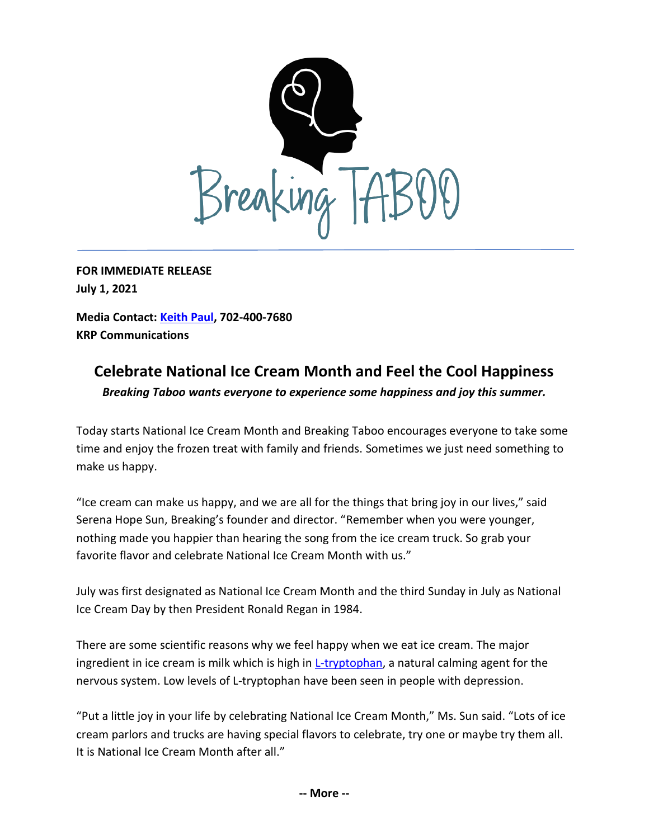

**FOR IMMEDIATE RELEASE July 1, 2021**

**Media Contact: [Keith Paul,](mailto:keithrpaul@outlook.com) 702-400-7680 KRP Communications**

## **Celebrate National Ice Cream Month and Feel the Cool Happiness**

*Breaking Taboo wants everyone to experience some happiness and joy this summer.*

Today starts National Ice Cream Month and Breaking Taboo encourages everyone to take some time and enjoy the frozen treat with family and friends. Sometimes we just need something to make us happy.

"Ice cream can make us happy, and we are all for the things that bring joy in our lives," said Serena Hope Sun, Breaking's founder and director. "Remember when you were younger, nothing made you happier than hearing the song from the ice cream truck. So grab your favorite flavor and celebrate National Ice Cream Month with us."

July was first designated as National Ice Cream Month and the third Sunday in July as National Ice Cream Day by then President Ronald Regan in 1984.

There are some scientific reasons why we feel happy when we eat ice cream. The major ingredient in ice cream is milk which is high in [L-tryptophan,](https://www.webmd.com/vitamins-and-supplements/l-tryptophan-uses-and-risks) a natural calming agent for the nervous system. Low levels of L-tryptophan have been seen in people with depression.

"Put a little joy in your life by celebrating National Ice Cream Month," Ms. Sun said. "Lots of ice cream parlors and trucks are having special flavors to celebrate, try one or maybe try them all. It is National Ice Cream Month after all."